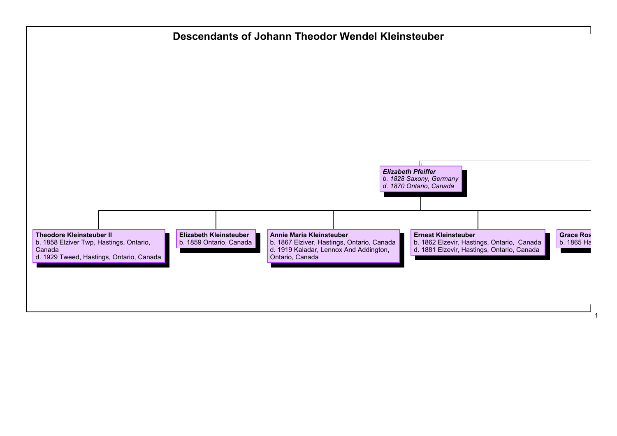## **Descendants of Johann Theodor Wendel Kleinsteuber**



1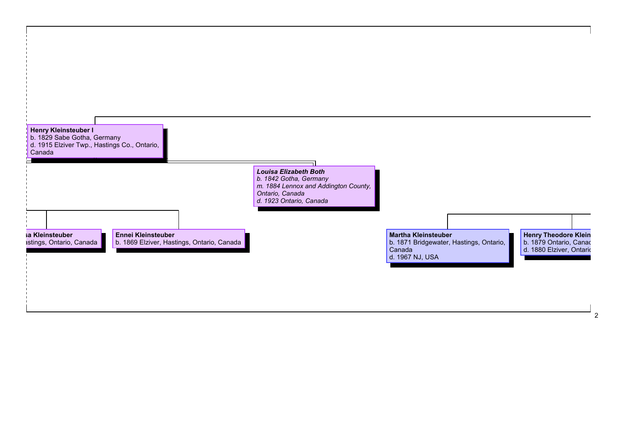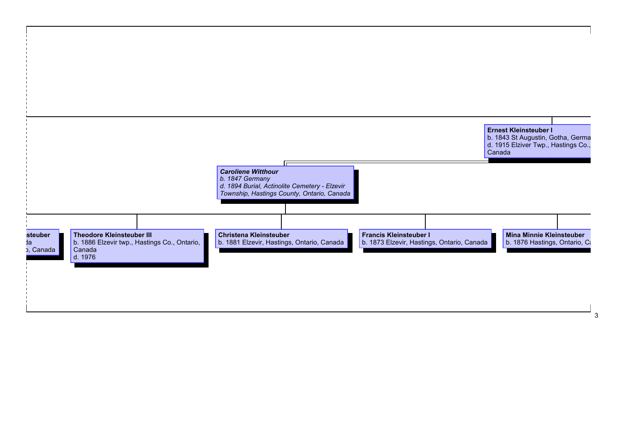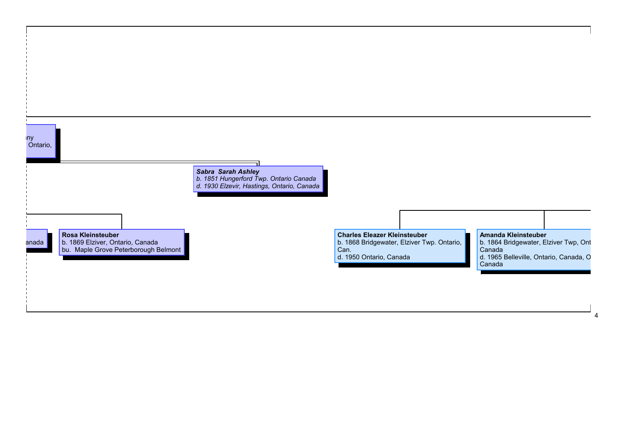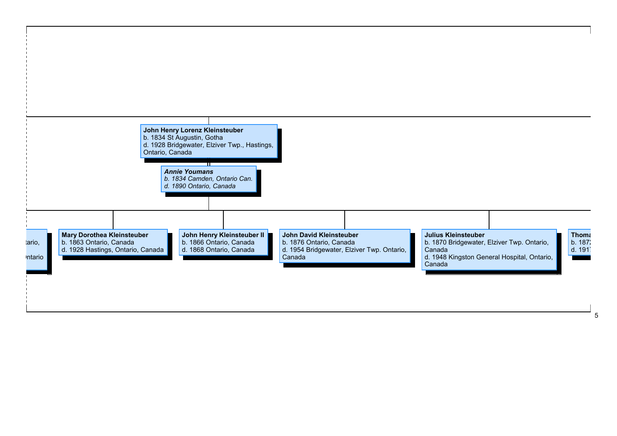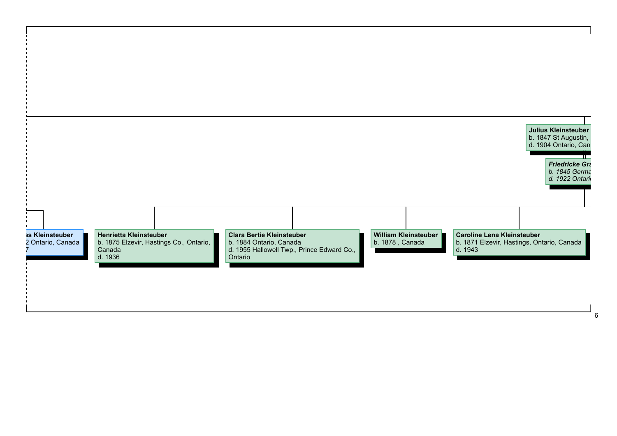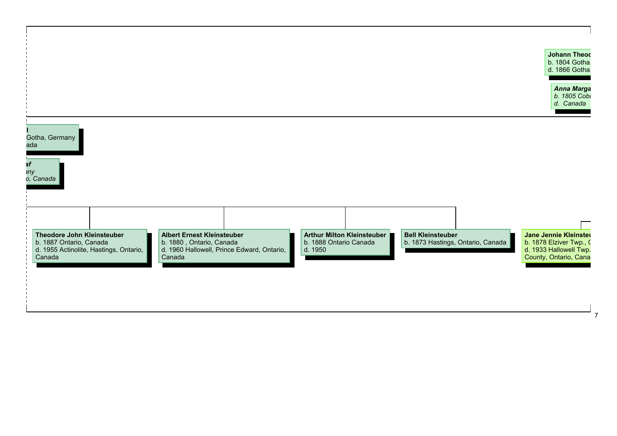| d. Canada<br><b>Albert Ernest Kleinsteuber</b><br>Arthur Milton Kleinsteuber<br><b>Bell Kleinsteuber</b><br>Jane Jennie Kleinster<br>Theodore John Kleinsteuber |                                                     |                        |                                   | Anna Marga              |
|-----------------------------------------------------------------------------------------------------------------------------------------------------------------|-----------------------------------------------------|------------------------|-----------------------------------|-------------------------|
|                                                                                                                                                                 |                                                     |                        |                                   | b. 1805 Cobi            |
|                                                                                                                                                                 |                                                     |                        |                                   |                         |
|                                                                                                                                                                 | Gotha, Germany<br>ada                               |                        |                                   |                         |
|                                                                                                                                                                 | эf                                                  |                        |                                   |                         |
|                                                                                                                                                                 | าny<br>o, Canada                                    |                        |                                   |                         |
|                                                                                                                                                                 |                                                     |                        |                                   |                         |
|                                                                                                                                                                 |                                                     |                        |                                   |                         |
|                                                                                                                                                                 |                                                     |                        |                                   |                         |
|                                                                                                                                                                 | b. 1887 Ontario, Canada<br>b. 1880, Ontario, Canada | b. 1888 Ontario Canada | b. 1873 Hastings, Ontario, Canada | b. 1878 Elziver Twp., C |
| d. 1960 Hallowell, Prince Edward, Ontario,<br>d. 1933 Hallowell Twp.<br>d. 1950<br>Canada<br>County, Ontario, Cana                                              | d. 1955 Actinolite, Hastings, Ontario,<br>Canada    |                        |                                   |                         |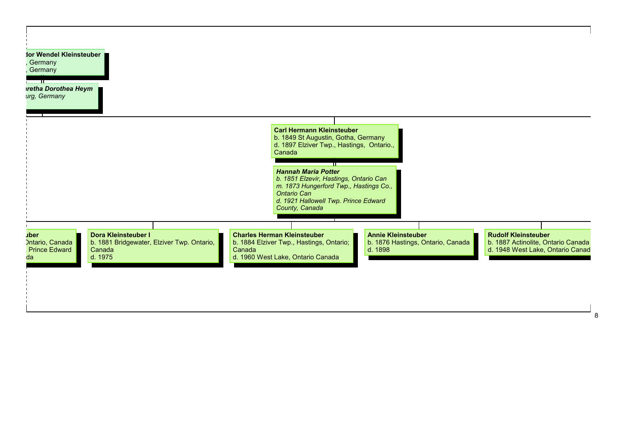| retha Dorothea Heym<br>urg, Germany                                                                                                                           |                                                                                                                                                                                                                                                                                                                                  |
|---------------------------------------------------------------------------------------------------------------------------------------------------------------|----------------------------------------------------------------------------------------------------------------------------------------------------------------------------------------------------------------------------------------------------------------------------------------------------------------------------------|
|                                                                                                                                                               | <b>Carl Hermann Kleinsteuber</b><br>b. 1849 St Augustin, Gotha, Germany<br>d. 1897 Elziver Twp., Hastings, Ontario.,<br>Canada<br><b>Hannah Maria Potter</b><br>b. 1851 Elzevir, Hastings, Ontario Can<br>m. 1873 Hungerford Twp., Hastings Co.,<br><b>Ontario Can</b><br>d. 1921 Hallowell Twp. Prince Edward<br>County, Canada |
| Dora Kleinsteuber I<br><b>uber</b><br>b. 1881 Bridgewater, Elziver Twp. Ontario,<br><b>Ontario, Canada</b><br><b>Prince Edward</b><br>Canada<br>d. 1975<br>da | <b>Charles Herman Kleinsteuber</b><br><b>Annie Kleinsteuber</b><br><b>Rudolf Kleinsteuber</b><br>b. 1876 Hastings, Ontario, Canada<br>b. 1884 Elziver Twp., Hastings, Ontario;<br>b. 1887 Actinolite, Ontario Canada<br>Canada<br>d. 1898<br>d. 1948 West Lake, Ontario Canad<br>d. 1960 West Lake, Ontario Canada               |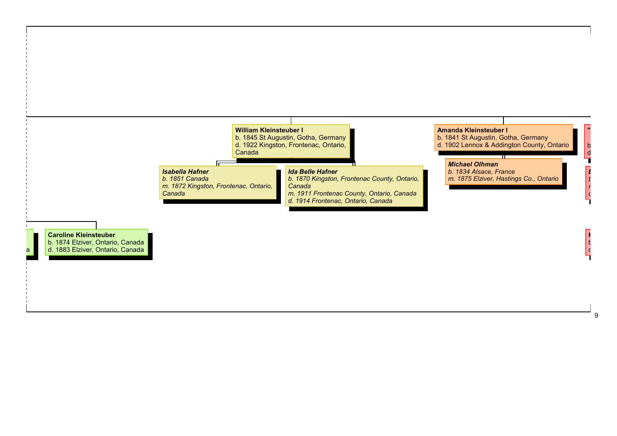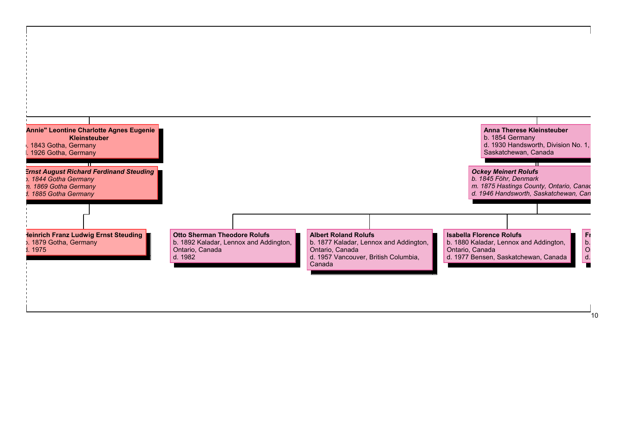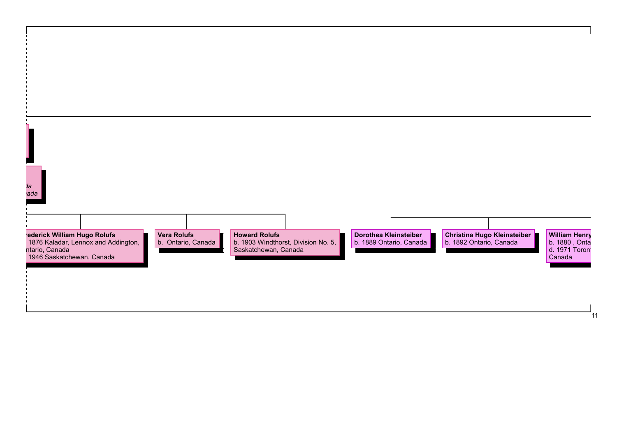| rederick William Hugo Rolufs<br>1876 Kaladar, Lennox and Addington,<br>ntario, Canada<br><b>Vera Rolufs</b><br><b>Howard Rolufs</b><br>Dorothea Kleinsteiber<br><b>Christina Hugo Kleinsteiber</b><br>b. 1892 Ontario, Canada<br>b. 1903 Windthorst, Division No. 5,<br>Saskatchewan, Canada<br>b. Ontario, Canada<br>b. 1889 Ontario, Canada<br>b. 1880, Onta<br>d. 1971 Toront<br>1946 Saskatchewan, Canada<br>Canada |           |  |  |                      |
|-------------------------------------------------------------------------------------------------------------------------------------------------------------------------------------------------------------------------------------------------------------------------------------------------------------------------------------------------------------------------------------------------------------------------|-----------|--|--|----------------------|
|                                                                                                                                                                                                                                                                                                                                                                                                                         |           |  |  |                      |
|                                                                                                                                                                                                                                                                                                                                                                                                                         |           |  |  |                      |
|                                                                                                                                                                                                                                                                                                                                                                                                                         |           |  |  |                      |
|                                                                                                                                                                                                                                                                                                                                                                                                                         |           |  |  |                      |
|                                                                                                                                                                                                                                                                                                                                                                                                                         |           |  |  |                      |
|                                                                                                                                                                                                                                                                                                                                                                                                                         |           |  |  |                      |
|                                                                                                                                                                                                                                                                                                                                                                                                                         |           |  |  |                      |
|                                                                                                                                                                                                                                                                                                                                                                                                                         |           |  |  |                      |
|                                                                                                                                                                                                                                                                                                                                                                                                                         |           |  |  |                      |
|                                                                                                                                                                                                                                                                                                                                                                                                                         | da<br>ada |  |  |                      |
|                                                                                                                                                                                                                                                                                                                                                                                                                         |           |  |  |                      |
|                                                                                                                                                                                                                                                                                                                                                                                                                         |           |  |  |                      |
|                                                                                                                                                                                                                                                                                                                                                                                                                         |           |  |  | <b>William Henry</b> |
|                                                                                                                                                                                                                                                                                                                                                                                                                         |           |  |  |                      |
|                                                                                                                                                                                                                                                                                                                                                                                                                         |           |  |  |                      |
|                                                                                                                                                                                                                                                                                                                                                                                                                         |           |  |  |                      |
|                                                                                                                                                                                                                                                                                                                                                                                                                         |           |  |  |                      |
|                                                                                                                                                                                                                                                                                                                                                                                                                         |           |  |  |                      |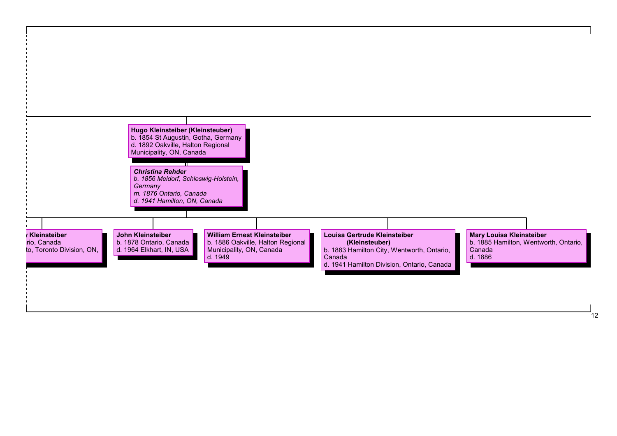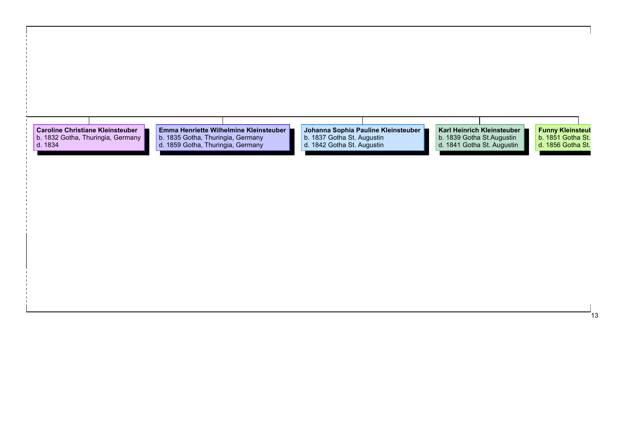